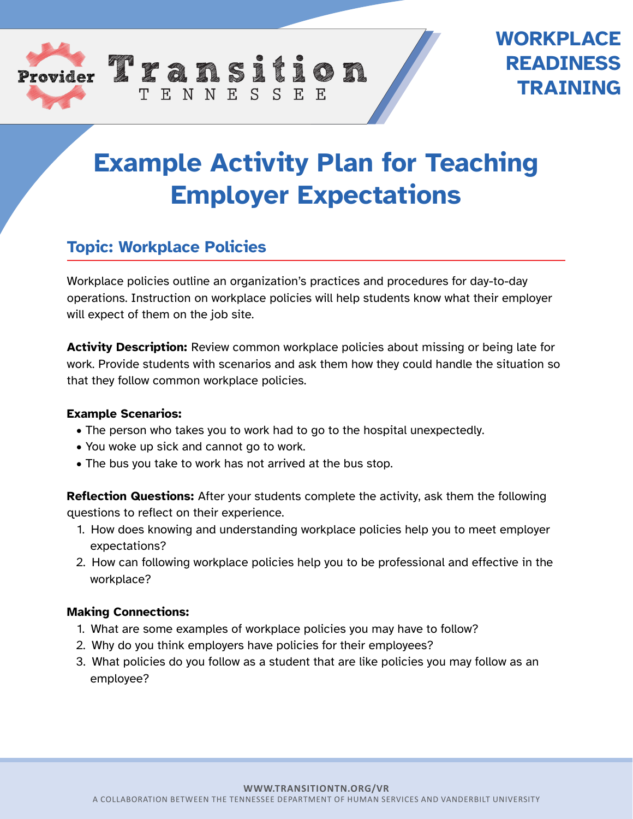

## **WORKPLACE READINESS TRAINING**

# **Example Activity Plan for Teaching Employer Expectations**

## **Topic: Workplace Policies**

Workplace policies outline an organization's practices and procedures for day-to-day operations. Instruction on workplace policies will help students know what their employer will expect of them on the job site.

**Activity Description:** Review common workplace policies about missing or being late for work. Provide students with scenarios and ask them how they could handle the situation so that they follow common workplace policies.

#### **Example Scenarios:**

- The person who takes you to work had to go to the hospital unexpectedly.
- You woke up sick and cannot go to work.
- The bus you take to work has not arrived at the bus stop.

TENNESSEE

**Reflection Questions:** After your students complete the activity, ask them the following questions to reflect on their experience.

- 1. How does knowing and understanding workplace policies help you to meet employer expectations?
- 2. How can following workplace policies help you to be professional and effective in the workplace?

#### **Making Connections:**

- 1. What are some examples of workplace policies you may have to follow?
- 2. Why do you think employers have policies for their employees?
- 3. What policies do you follow as a student that are like policies you may follow as an employee?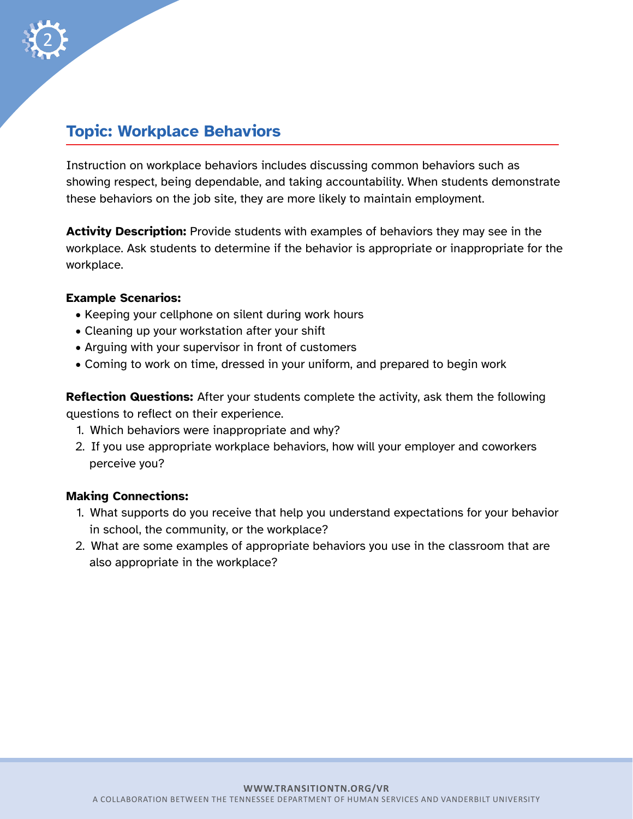

### **Topic: Workplace Behaviors**

Instruction on workplace behaviors includes discussing common behaviors such as showing respect, being dependable, and taking accountability. When students demonstrate these behaviors on the job site, they are more likely to maintain employment.

**Activity Description:** Provide students with examples of behaviors they may see in the workplace. Ask students to determine if the behavior is appropriate or inappropriate for the workplace.

#### **Example Scenarios:**

- Keeping your cellphone on silent during work hours
- Cleaning up your workstation after your shift
- Arguing with your supervisor in front of customers
- Coming to work on time, dressed in your uniform, and prepared to begin work

**Reflection Questions:** After your students complete the activity, ask them the following questions to reflect on their experience.

- 1. Which behaviors were inappropriate and why?
- 2. If you use appropriate workplace behaviors, how will your employer and coworkers perceive you?

#### **Making Connections:**

- 1. What supports do you receive that help you understand expectations for your behavior in school, the community, or the workplace?
- 2. What are some examples of appropriate behaviors you use in the classroom that are also appropriate in the workplace?